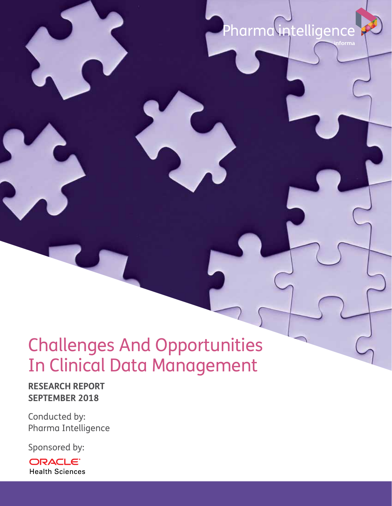# Pharma intelligence

## Challenges And Opportunities In Clinical Data Management

**RESEARCH REPORT SEPTEMBER 2018**

Conducted by: Pharma Intelligence

Sponsored by:

ORACLE<sup>®</sup> **Health Sciences**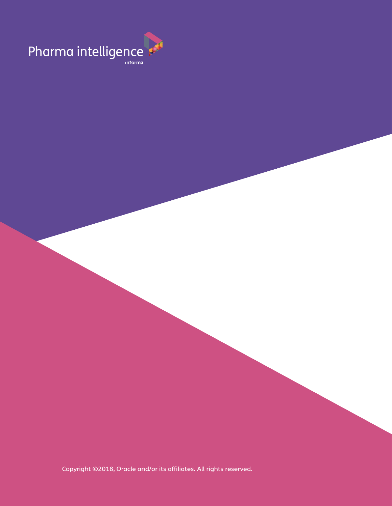

Copyright ©2018, Oracle and/or its affiliates. All rights reserved.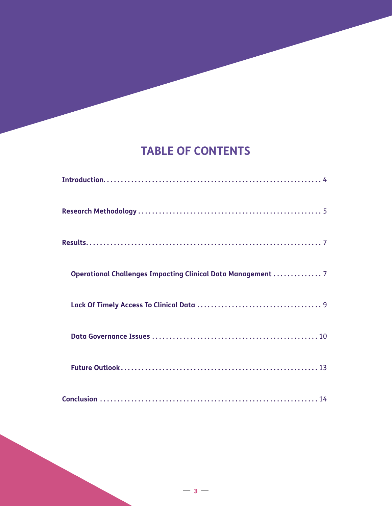### **TABLE OF CONTENTS**

| <b>Operational Challenges Impacting Clinical Data Management  7</b> |
|---------------------------------------------------------------------|
|                                                                     |
|                                                                     |
|                                                                     |
|                                                                     |

**— 3 —**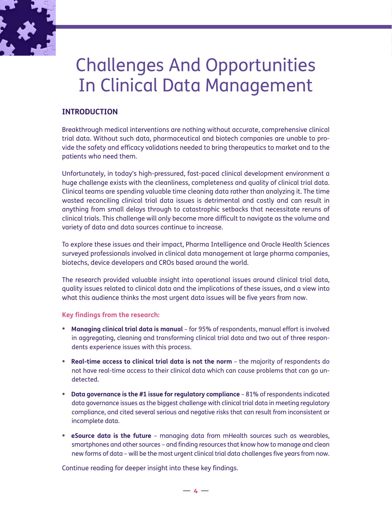

## Challenges And Opportunities In Clinical Data Management

#### **INTRODUCTION**

Breakthrough medical interventions are nothing without accurate, comprehensive clinical trial data. Without such data, pharmaceutical and biotech companies are unable to provide the safety and efficacy validations needed to bring therapeutics to market and to the patients who need them.

Unfortunately, in today's high-pressured, fast-paced clinical development environment a huge challenge exists with the cleanliness, completeness and quality of clinical trial data. Clinical teams are spending valuable time cleaning data rather than analyzing it. The time wasted reconciling clinical trial data issues is detrimental and costly and can result in anything from small delays through to catastrophic setbacks that necessitate reruns of clinical trials. This challenge will only become more difficult to navigate as the volume and variety of data and data sources continue to increase.

To explore these issues and their impact, Pharma Intelligence and Oracle Health Sciences surveyed professionals involved in clinical data management at large pharma companies, biotechs, device developers and CROs based around the world.

The research provided valuable insight into operational issues around clinical trial data, quality issues related to clinical data and the implications of these issues, and a view into what this audience thinks the most urgent data issues will be five years from now.

#### **Key findings from the research:**

- **Managing clinical trial data is manual**  for 95% of respondents, manual effort is involved in aggregating, cleaning and transforming clinical trial data and two out of three respondents experience issues with this process.
- **Real-time access to clinical trial data is not the norm** the majority of respondents do not have real-time access to their clinical data which can cause problems that can go undetected.
- **Data governance is the #1 issue for regulatory compliance**  81% of respondents indicated data governance issues as the biggest challenge with clinical trial data in meeting regulatory compliance, and cited several serious and negative risks that can result from inconsistent or incomplete data.
- **eSource data is the future** managing data from mHealth sources such as wearables, smartphones and other sources – and finding resources that know how to manage and clean new forms of data – will be the most urgent clinical trial data challenges five years from now.

Continue reading for deeper insight into these key findings.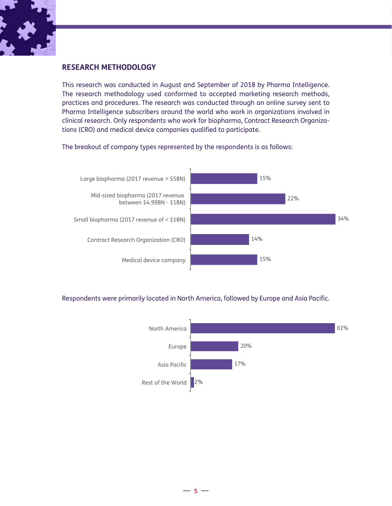

#### **RESEARCH METHODOLOGY**

This research was conducted in August and September of 2018 by Pharma Intelligence. The research methodology used conformed to accepted marketing research methods, practices and procedures. The research was conducted through an online survey sent to Pharma Intelligence subscribers around the world who work in organizations involved in clinical research. Only respondents who work for biopharma, Contract Research Organizations (CRO) and medical device companies qualified to participate.

The breakout of company types represented by the respondents is as follows:



Respondents were primarily located in North America, followed by Europe and Asia Pacific.

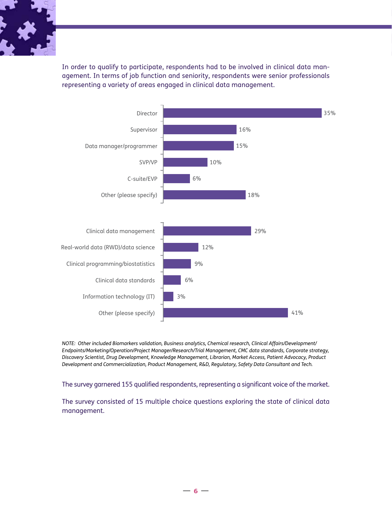

In order to qualify to participate, respondents had to be involved in clinical data management. In terms of job function and seniority, respondents were senior professionals representing a variety of areas engaged in clinical data management.



*NOTE: Other included Biomarkers validation, Business analytics, Chemical research, Clinical Affairs/Development/ Endpoints/Marketing/Operation/Project Manager/Research/Trial Management, CMC data standards, Corporate strategy, Discovery Scientist, Drug Development, Knowledge Management, Librarian, Market Access, Patient Advocacy, Product Development and Commercialization, Product Management, R&D, Regulatory, Safety Data Consultant and Tech.*

The survey garnered 155 qualified respondents, representing a significant voice of the market.

The survey consisted of 15 multiple choice questions exploring the state of clinical data management.

**— 6 —**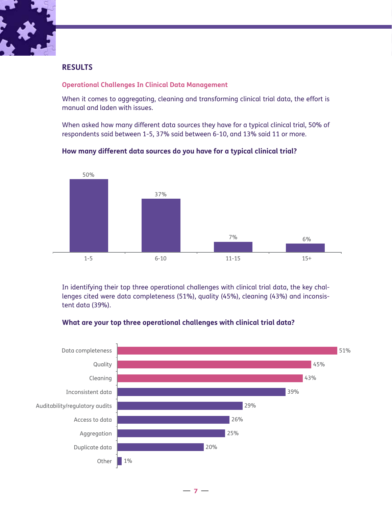

#### **RESULTS**

#### **Operational Challenges In Clinical Data Management**

When it comes to aggregating, cleaning and transforming clinical trial data, the effort is manual and laden with issues.

When asked how many different data sources they have for a typical clinical trial, 50% of respondents said between 1-5, 37% said between 6-10, and 13% said 11 or more.



#### **How many different data sources do you have for a typical clinical trial?**

In identifying their top three operational challenges with clinical trial data, the key challenges cited were data completeness (51%), quality (45%), cleaning (43%) and inconsistent data (39%).



#### **What are your top three operational challenges with clinical trial data?**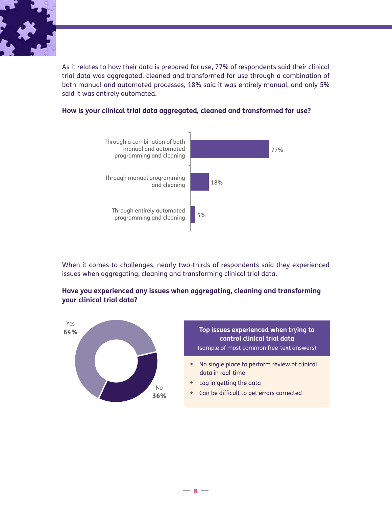

As it relates to how their data is prepared for use, 77% of respondents said their clinical trial data was aggregated, cleaned and transformed for use through a combination of both manual and automated processes, 18% said it was entirely manual, and only 5% said it was entirely automated.



#### **How is your clinical trial data aggregated, cleaned and transformed for use?**

When it comes to challenges, nearly two-thirds of respondents said they experienced issues when aggregating, cleaning and transforming clinical trial data.

**Have you experienced any issues when aggregating, cleaning and transforming your clinical trial data?**

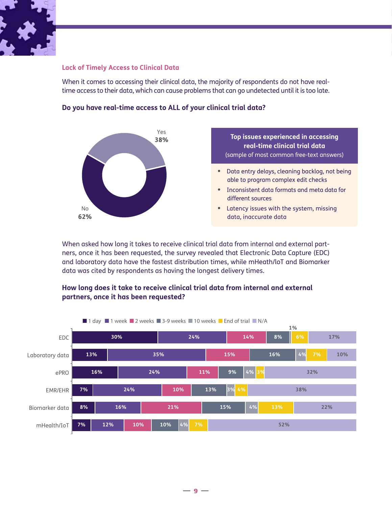

#### **Lack of Timely Access to Clinical Data**

When it comes to accessing their clinical data, the majority of respondents do not have realtime access to their data, which can cause problems that can go undetected until it is too late.



#### **Do you have real-time access to ALL of your clinical trial data?**

When asked how long it takes to receive clinical trial data from internal and external partners, once it has been requested, the survey revealed that Electronic Data Capture (EDC) and laboratory data have the fastest distribution times, while mHeath/loT and Biomarker data was cited by respondents as having the longest delivery times.

#### **How long does it take to receive clinical trial data from internal and external partners, once it has been requested?**

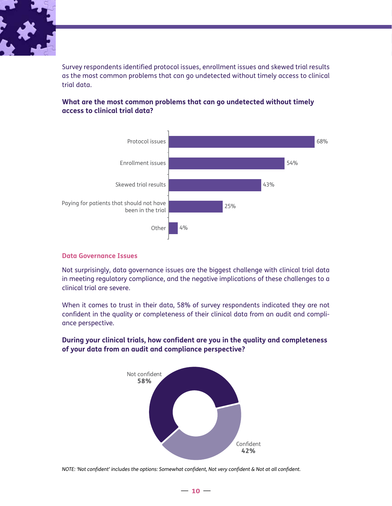

Survey respondents identified protocol issues, enrollment issues and skewed trial results as the most common problems that can go undetected without timely access to clinical trial data.

#### **What are the most common problems that can go undetected without timely access to clinical trial data?**



#### **Data Governance Issues**

Not surprisingly, data governance issues are the biggest challenge with clinical trial data in meeting regulatory compliance, and the negative implications of these challenges to a clinical trial are severe.

When it comes to trust in their data, 58% of survey respondents indicated they are not confident in the quality or completeness of their clinical data from an audit and compliance perspective.

#### **During your clinical trials, how confident are you in the quality and completeness of your data from an audit and compliance perspective?**



*NOTE: 'Not confident' includes the options: Somewhat confident, Not very confident & Not at all confident.*

#### **— 10 —**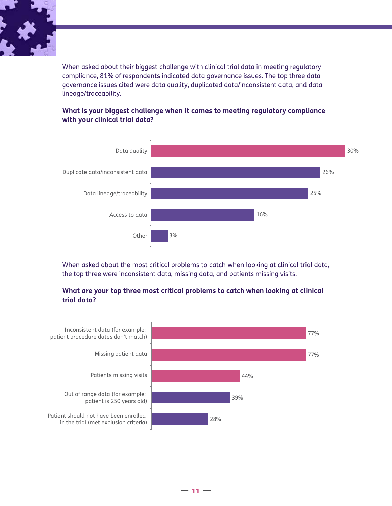

When asked about their biggest challenge with clinical trial data in meeting regulatory compliance, 81% of respondents indicated data governance issues. The top three data governance issues cited were data quality, duplicated data/inconsistent data, and data lineage/traceability.



#### **What is your biggest challenge when it comes to meeting regulatory compliance with your clinical trial data?**

When asked about the most critical problems to catch when looking at clinical trial data, the top three were inconsistent data, missing data, and patients missing visits.

#### **What are your top three most critical problems to catch when looking at clinical trial data?**

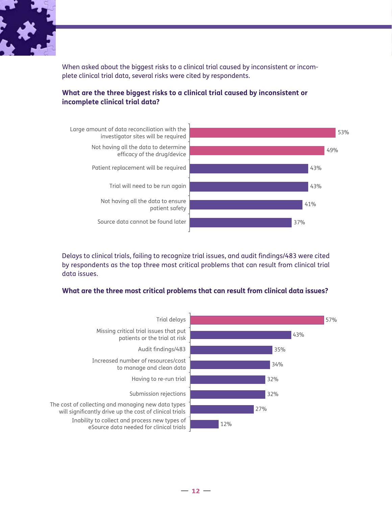

When asked about the biggest risks to a clinical trial caused by inconsistent or incomplete clinical trial data, several risks were cited by respondents.



#### **What are the three biggest risks to a clinical trial caused by inconsistent or incomplete clinical trial data?**

Delays to clinical trials, failing to recognize trial issues, and audit findings/483 were cited by respondents as the top three most critical problems that can result from clinical trial data issues.

#### **What are the three most critical problems that can result from clinical data issues?**



**— 12 —**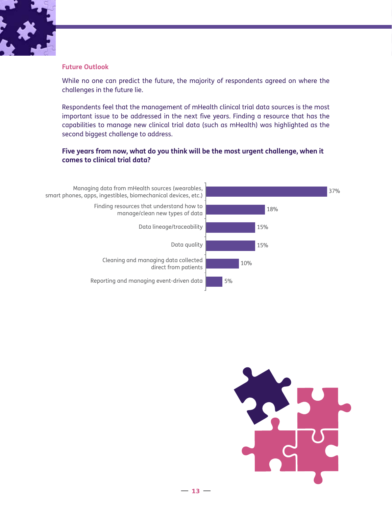

#### **Future Outlook**

While no one can predict the future, the majority of respondents agreed on where the challenges in the future lie.

Respondents feel that the management of mHealth clinical trial data sources is the most important issue to be addressed in the next five years. Finding a resource that has the capabilities to manage new clinical trial data (such as mHealth) was highlighted as the second biggest challenge to address.

#### **Five years from now, what do you think will be the most urgent challenge, when it comes to clinical trial data?**



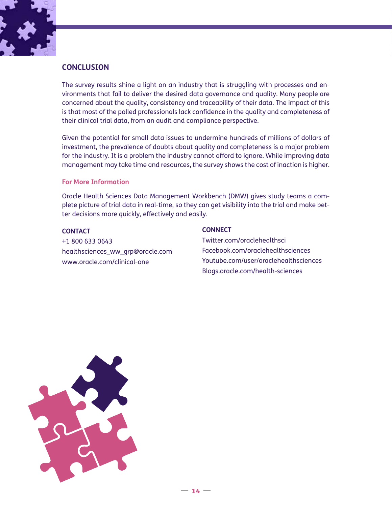

#### **CONCLUSION**

The survey results shine a light on an industry that is struggling with processes and environments that fail to deliver the desired data governance and quality. Many people are concerned about the quality, consistency and traceability of their data. The impact of this is that most of the polled professionals lack confidence in the quality and completeness of their clinical trial data, from an audit and compliance perspective.

Given the potential for small data issues to undermine hundreds of millions of dollars of investment, the prevalence of doubts about quality and completeness is a major problem for the industry. It is a problem the industry cannot afford to ignore. While improving data management may take time and resources, the survey shows the cost of inaction is higher.

#### **For More Information**

Oracle Health Sciences Data Management Workbench (DMW) gives study teams a complete picture of trial data in real-time, so they can get visibility into the trial and make better decisions more quickly, effectively and easily.

#### **CONTACT**

+1 800 633 0643 [healthsciences\\_ww\\_grp@oracle.com](mailto:healthsciences_ww_grp@oracle.com) [www.oracle.com/clinical](http://www.oracle.com/clinical)-one

#### **CONNECT**

[Twitter.com/oraclehealthsci](http://Twitter.com/oraclehealthsci) [Facebook.com/oraclehealthsciences](http://Facebook.com/oraclehealthsciences) [Youtube.com/user/oraclehealthsciences](http://Youtube.com/user/oraclehealthsciences) [Blogs.oracle.com/health-sciences](http://Blogs.oracle.com/health-sciences)

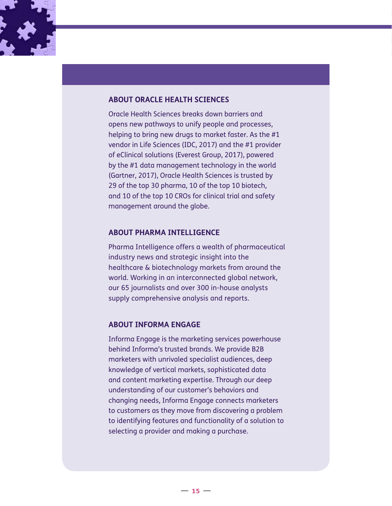

#### **ABOUT ORACLE HEALTH SCIENCES**

Oracle Health Sciences breaks down barriers and opens new pathways to unify people and processes, helping to bring new drugs to market faster. As the #1 vendor in Life Sciences (IDC, 2017) and the #1 provider of eClinical solutions (Everest Group, 2017), powered by the #1 data management technology in the world (Gartner, 2017), Oracle Health Sciences is trusted by 29 of the top 30 pharma, 10 of the top 10 biotech, and 10 of the top 10 CROs for clinical trial and safety management around the globe.

#### **ABOUT PHARMA INTELLIGENCE**

Pharma Intelligence offers a wealth of pharmaceutical industry news and strategic insight into the healthcare & biotechnology markets from around the world. Working in an interconnected global network, our 65 journalists and over 300 in-house analysts supply comprehensive analysis and reports.

#### **ABOUT INFORMA ENGAGE**

Informa Engage is the marketing services powerhouse behind Informa's trusted brands. We provide B2B marketers with unrivaled specialist audiences, deep knowledge of vertical markets, sophisticated data and content marketing expertise. Through our deep understanding of our customer's behaviors and changing needs, Informa Engage connects marketers to customers as they move from discovering a problem to identifying features and functionality of a solution to selecting a provider and making a purchase.